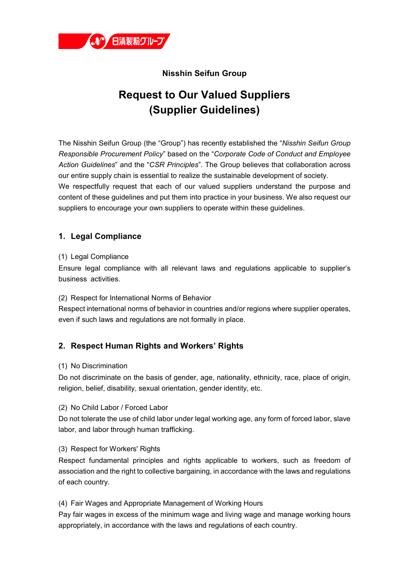

# **Nisshin Seifun Group**

# **Request to Our Valued Suppliers (Supplier Guidelines)**

The Nisshin Seifun Group (the "Group") has recently established the "*Nisshin Seifun Group Responsible Procurement Policy*" based on the "*Corporate Code of Conduct and Employee Action Guidelines*" and the "*CSR Principles*". The Group believes that collaboration across our entire supply chain is essential to realize the sustainable development of society. We respectfully request that each of our valued suppliers understand the purpose and content of these guidelines and put them into practice in your business. We also request our suppliers to encourage your own suppliers to operate within these guidelines.

# **1. Legal Compliance**

#### (1) Legal Compliance

Ensure legal compliance with all relevant laws and regulations applicable to supplier's business activities.

#### (2) Respect for International Norms of Behavior

Respect international norms of behavior in countries and/or regions where supplier operates, even if such laws and regulations are not formally in place.

# **2. Respect Human Rights and Workers' Rights**

#### (1) No Discrimination

Do not discriminate on the basis of gender, age, nationality, ethnicity, race, place of origin, religion, belief, disability, sexual orientation, gender identity, etc.

#### (2) No Child Labor / Forced Labor

Do not tolerate the use of child labor under legal working age, any form of forced labor, slave labor, and labor through human trafficking.

#### (3) Respect for Workers' Rights

Respect fundamental principles and rights applicable to workers, such as freedom of association and the right to collective bargaining, in accordance with the laws and regulations of each country.

#### (4) Fair Wages and Appropriate Management of Working Hours

Pay fair wages in excess of the minimum wage and living wage and manage working hours appropriately, in accordance with the laws and regulations of each country.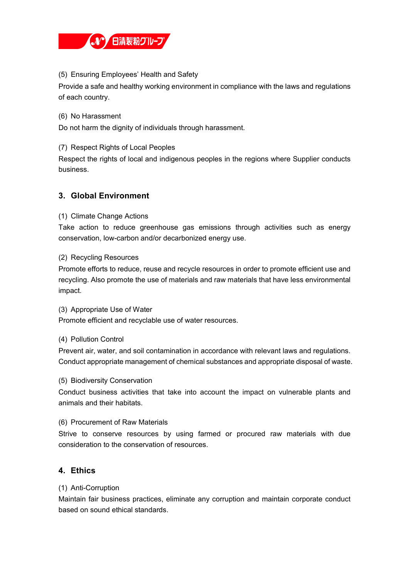

#### (5) Ensuring Employees' Health and Safety

Provide a safe and healthy working environment in compliance with the laws and regulations of each country.

(6) No Harassment

Do not harm the dignity of individuals through harassment.

## (7) Respect Rights of Local Peoples

Respect the rights of local and indigenous peoples in the regions where Supplier conducts business.

# **3. Global Environment**

#### (1) Climate Change Actions

Take action to reduce greenhouse gas emissions through activities such as energy conservation, low-carbon and/or decarbonized energy use.

#### (2) Recycling Resources

Promote efforts to reduce, reuse and recycle resources in order to promote efficient use and recycling. Also promote the use of materials and raw materials that have less environmental impact.

(3) Appropriate Use of Water Promote efficient and recyclable use of water resources.

#### (4) Pollution Control

Prevent air, water, and soil contamination in accordance with relevant laws and regulations. Conduct appropriate management of chemical substances and appropriate disposal of waste.

(5) Biodiversity Conservation

Conduct business activities that take into account the impact on vulnerable plants and animals and their habitats.

#### (6) Procurement of Raw Materials

Strive to conserve resources by using farmed or procured raw materials with due consideration to the conservation of resources.

## **4. Ethics**

#### (1) Anti-Corruption

Maintain fair business practices, eliminate any corruption and maintain corporate conduct based on sound ethical standards.